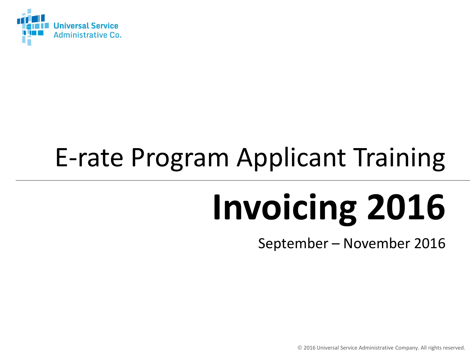

## E-rate Program Applicant Training

# **Invoicing 2016**

September – November 2016

© 2016 Universal Service Administrative Company. All rights reserved.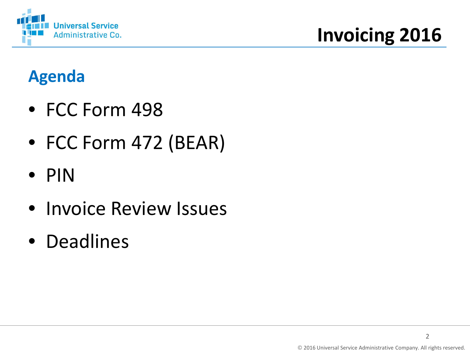

### **Agenda**

- FCC Form 498
- FCC Form 472 (BEAR)
- PIN
- Invoice Review Issues
- Deadlines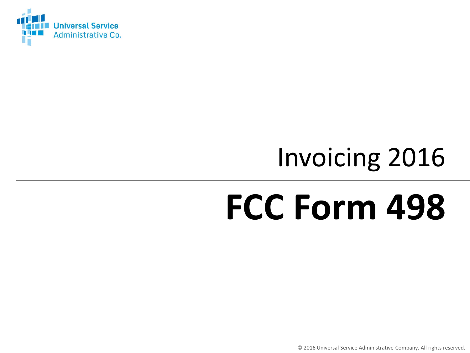

## Invoicing 2016

## **FCC Form 498**

© 2016 Universal Service Administrative Company. All rights reserved.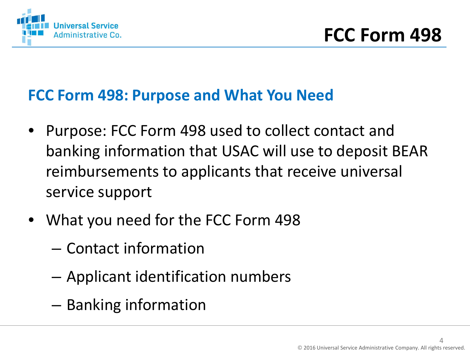

#### **FCC Form 498: Purpose and What You Need**

- Purpose: FCC Form 498 used to collect contact and banking information that USAC will use to deposit BEAR reimbursements to applicants that receive universal service support
- What you need for the FCC Form 498
	- Contact information
	- Applicant identification numbers
	- Banking information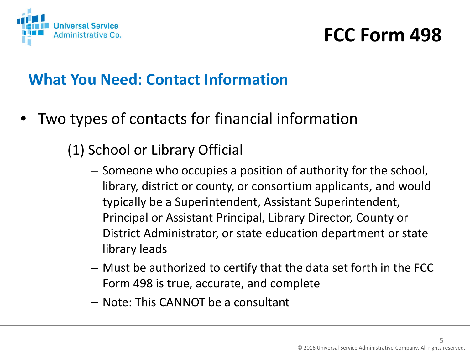

#### **What You Need: Contact Information**

- Two types of contacts for financial information
	- (1) School or Library Official
		- Someone who occupies a position of authority for the school, library, district or county, or consortium applicants, and would typically be a Superintendent, Assistant Superintendent, Principal or Assistant Principal, Library Director, County or District Administrator, or state education department or state library leads
		- Must be authorized to certify that the data set forth in the FCC Form 498 is true, accurate, and complete
		- Note: This CANNOT be a consultant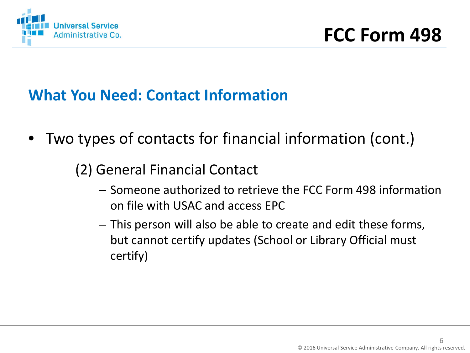

#### **What You Need: Contact Information**

- Two types of contacts for financial information (cont.)
	- (2) General Financial Contact
		- Someone authorized to retrieve the FCC Form 498 information on file with USAC and access EPC
		- This person will also be able to create and edit these forms, but cannot certify updates (School or Library Official must certify)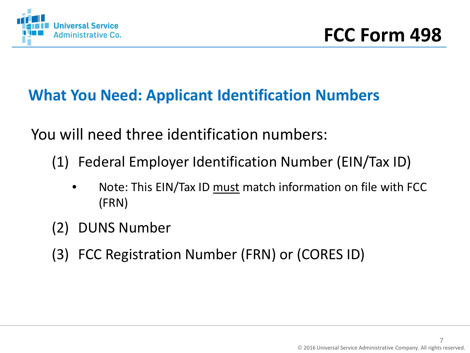

#### **What You Need: Applicant Identification Numbers**

You will need three identification numbers:

(1) Federal Employer Identification Number (EIN/Tax ID)

- Note: This EIN/Tax ID must match information on file with FCC (FRN)
- (2) DUNS Number
- (3) FCC Registration Number (FRN) or (CORES ID)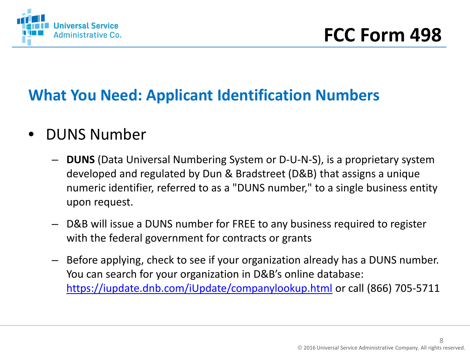

#### **What You Need: Applicant Identification Numbers**

- DUNS Number
	- **DUNS** (Data Universal Numbering System or D-U-N-S), is a proprietary system developed and regulated by Dun & Bradstreet (D&B) that assigns a unique numeric identifier, referred to as a "DUNS number," to a single business entity upon request.
	- D&B will issue a DUNS number for FREE to any business required to register with the federal government for contracts or grants
	- Before applying, check to see if your organization already has a DUNS number. You can search for your organization in D&B's online database: <https://iupdate.dnb.com/iUpdate/companylookup.html> or call (866) 705-5711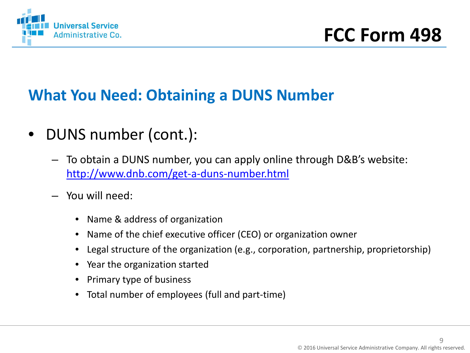

#### **What You Need: Obtaining a DUNS Number**

- DUNS number (cont.):
	- To obtain a DUNS number, you can apply online through D&B's website: <http://www.dnb.com/get-a-duns-number.html>
	- You will need:
		- Name & address of organization
		- Name of the chief executive officer (CEO) or organization owner
		- Legal structure of the organization (e.g., corporation, partnership, proprietorship)
		- Year the organization started
		- Primary type of business
		- Total number of employees (full and part-time)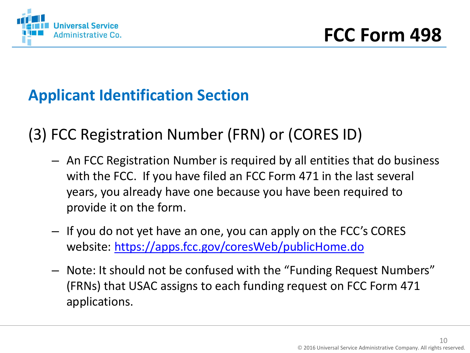

#### **Applicant Identification Section**

(3) FCC Registration Number (FRN) or (CORES ID)

- An FCC Registration Number is required by all entities that do business with the FCC. If you have filed an FCC Form 471 in the last several years, you already have one because you have been required to provide it on the form.
- If you do not yet have an one, you can apply on the FCC's CORES website:<https://apps.fcc.gov/coresWeb/publicHome.do>
- Note: It should not be confused with the "Funding Request Numbers" (FRNs) that USAC assigns to each funding request on FCC Form 471 applications.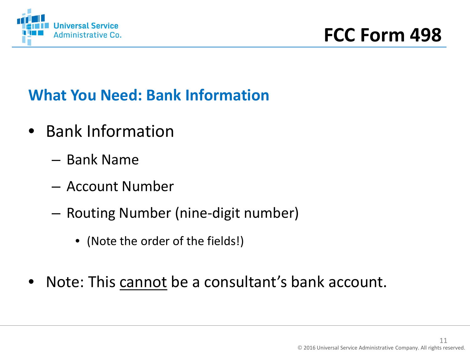

### **What You Need: Bank Information**

- Bank Information
	- Bank Name
	- Account Number
	- Routing Number (nine-digit number)
		- (Note the order of the fields!)
- Note: This cannot be a consultant's bank account.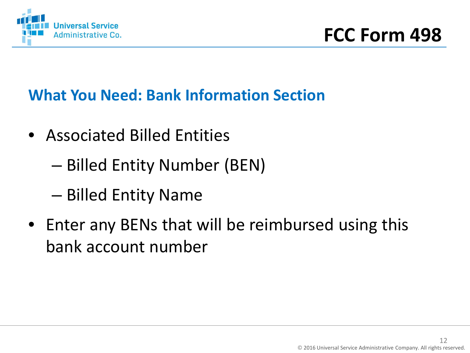

#### **What You Need: Bank Information Section**

- Associated Billed Entities
	- Billed Entity Number (BEN)
	- Billed Entity Name
- Enter any BENs that will be reimbursed using this bank account number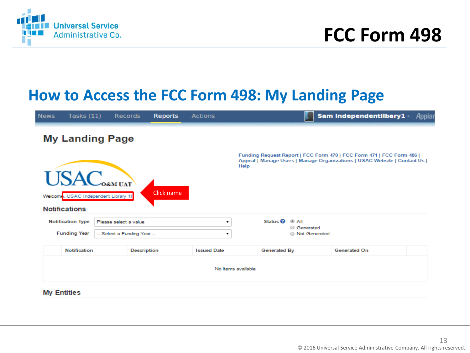

#### **How to Access the FCC Form 498: My Landing Page**

| <b>News</b> | Tasks $(11)$             |                                                                       | Records            | <b>Reports</b> | <b>Actions</b>     |                                             | Sam Independentilbary1<br>Appia                                                                                                                   |
|-------------|--------------------------|-----------------------------------------------------------------------|--------------------|----------------|--------------------|---------------------------------------------|---------------------------------------------------------------------------------------------------------------------------------------------------|
|             |                          | <b>My Landing Page</b>                                                |                    |                |                    |                                             |                                                                                                                                                   |
|             | <b>Notifications</b>     | <b>USAC</b> <sub>OGMUAT</sub><br>Welcome, USAC Independent Library 1! |                    | Click name     |                    | Help                                        | Funding Request Report   FCC Form 470   FCC Form 471   FCC Form 486  <br>Appeal   Manage Users   Manage Organizations   USAC Website   Contact Us |
|             | <b>Notification Type</b> | Please select a value                                                 |                    |                | ۰.                 | Status <sup>O</sup><br>® All<br>○ Generated |                                                                                                                                                   |
|             | <b>Funding Year</b>      | -- Select a Funding Year --                                           |                    |                | ۰.                 | <b>Not Generated</b>                        |                                                                                                                                                   |
|             | <b>Notification</b>      |                                                                       | <b>Description</b> |                | <b>Issued Date</b> | Generated By                                | <b>Generated On</b>                                                                                                                               |
|             |                          |                                                                       |                    |                |                    | No items available                          |                                                                                                                                                   |
|             | <b>My Entities</b>       |                                                                       |                    |                |                    |                                             |                                                                                                                                                   |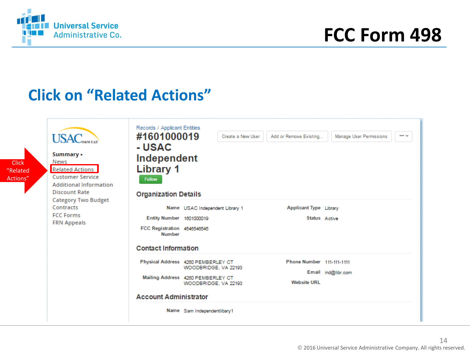

## **FCC Form 498**

#### **Click on "Related Actions"**

| <b>Click</b><br>"Related<br>Actions" | <b>USAC</b> <sub>OAM UAT</sub><br>Summary <b>&gt;</b><br>News<br><b>Related Actions</b><br><b>Customer Service</b><br><b>Additional Information</b><br><b>Discount Rate</b><br><b>Category Two Budget</b> | Records / Applicant Entities<br>#1601000019<br>Create a New User<br>Add or Remove Existing<br>Manage User Permissions<br>$\cdots$<br>- USAC<br>Independent<br><b>Library 1</b><br><b>Follow</b><br><b>Organization Details</b> |                                                                                                                                                        |                                                 |                    |  |  |
|--------------------------------------|-----------------------------------------------------------------------------------------------------------------------------------------------------------------------------------------------------------|--------------------------------------------------------------------------------------------------------------------------------------------------------------------------------------------------------------------------------|--------------------------------------------------------------------------------------------------------------------------------------------------------|-------------------------------------------------|--------------------|--|--|
|                                      | Contracts<br><b>FCC Forms</b><br><b>FRN Appeals</b>                                                                                                                                                       | Entity Number 1601000019<br>FCC Registration 4546546545<br><b>Number</b><br><b>Contact Information</b>                                                                                                                         | Name USAC Independent Library 1                                                                                                                        | <b>Applicant Type Library</b><br>Status Active  |                    |  |  |
|                                      |                                                                                                                                                                                                           | <b>Account Administrator</b>                                                                                                                                                                                                   | Physical Address 4280 PEMBERLEY CT<br>WOODBRIDGE, VA 22193<br>Mailing Address 4260 PEMBERLEY CT<br>WOODBRIDGE, VA 22193<br>Name Sam Independentlibary1 | Phone Number 111-111-1111<br><b>Website URL</b> | Email ind@libr.com |  |  |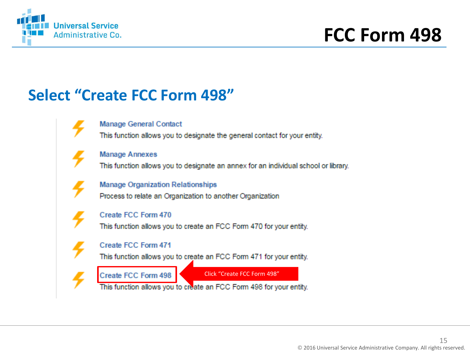

#### **Select "Create FCC Form 498"**

**Manage General Contact** 

This function allows you to designate the general contact for your entity.

**Manage Annexes** 

This function allows you to designate an annex for an individual school or library.

**Manage Organization Relationships** 

Process to relate an Organization to another Organization



Create FCC Form 470

This function allows you to create an FCC Form 470 for your entity.

#### Create FCC Form 471

This function allows you to create an FCC Form 471 for your entity.

Create FCC Form 498

Click "Create FCC Form 498"

This function allows you to create an FCC Form 498 for your entity.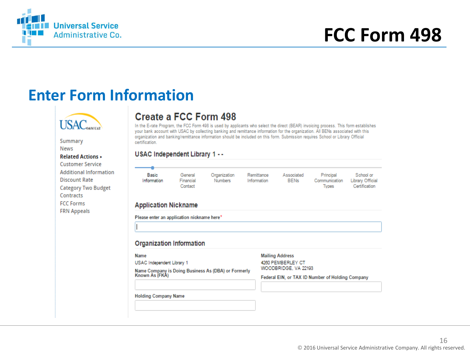

#### **Enter Form Information**



Summary News **Related Actions + Customer Service Additional Information Discount Rate Category Two Budget** Contracts **FCC Forms FRN Appeals** 

#### Create a FCC Form 498

In the E-rate Program, the FCC Form 498 is used by applicants who select the direct (BEAR) invoicing process. This form establishes your bank account with USAC by collecting banking and remittance information for the organization. All BENs associated with this organization and banking/remittance information should be included on this form. Submission requires School or Library Official certification.

#### USAC Independent Library 1 - -

| $- - -$              |                                 |                         |                           |                           |                                            |                                                |
|----------------------|---------------------------------|-------------------------|---------------------------|---------------------------|--------------------------------------------|------------------------------------------------|
| Basic<br>Information | General<br>Financial<br>Contact | Organization<br>Numbers | Remittance<br>Information | Associated<br><b>BENs</b> | Principal<br>Communication<br><b>Types</b> | School or<br>Library Official<br>Certification |

#### **Application Nickname**

Please enter an application nickname here\*

#### **Organization Information**

#### Name

USAC Independent Library 1

Name Company is Doing Business As (DBA) or Formerly<br>Known As (FKA)

**Mailing Address** 

4260 PEMBERLEY CT WOODBRIDGE, VA 22193

Federal EIN, or TAX ID Number of Holding Company

**Holding Company Name**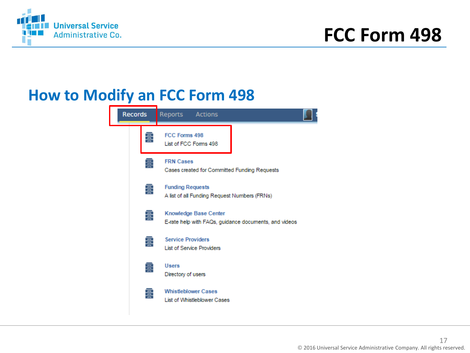

#### **How to Modify an FCC Form 498**

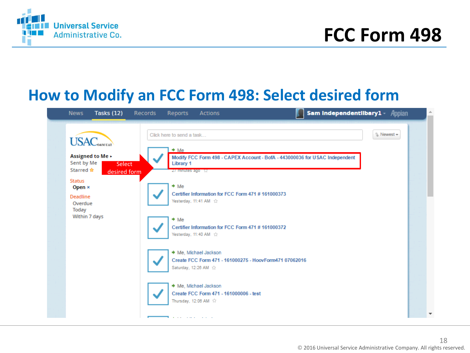

#### **How to Modify an FCC Form 498: Select desired form**

| <b>Tasks (12)</b><br><b>News</b>                                                                                                                                                                 | Records | Sam IndependentIlbary1 - Appian<br>Reports<br><b>Actions</b>                                                                                                                                                                                                                                                                                                                                                                                                                                                                                                                             |            |                          |
|--------------------------------------------------------------------------------------------------------------------------------------------------------------------------------------------------|---------|------------------------------------------------------------------------------------------------------------------------------------------------------------------------------------------------------------------------------------------------------------------------------------------------------------------------------------------------------------------------------------------------------------------------------------------------------------------------------------------------------------------------------------------------------------------------------------------|------------|--------------------------|
| <b>USAC</b> <sub>OAMUAT</sub><br>Assigned to Me ><br>Sent by Me<br><b>Select</b><br>Starred ☆<br>desired form<br><b>Status</b><br>Open ×<br><b>Deadline</b><br>Overdue<br>Today<br>Within 7 days |         | Click here to send a task<br>$+$ Me<br>Modify FCC Form 498 - CAPEX Account - BofA - 443000036 for USAC Independent<br><b>Library 1</b><br>$27$ minutes ago $57$<br>$+$ Me<br>Certifier Information for FCC Form 471 #161000373<br>Yesterday, 11:41 AM $\hat{C}$<br>$+$ Me<br>Certifier Information for FCC Form 471 #161000372<br>Yesterday, 11:40 AM $\hat{C}$<br>♦ Me, Michael Jackson<br>Create FCC Form 471 - 161000275 - HoovForm471 07062016<br>Saturday, 12:26 AM<br>$\stackrel{\rightarrow}{\textrm{LT}}$<br>♦ Me, Michael Jackson<br>Create FCC Form 471 - 161000006 - test<br> | 1 Newest + |                          |
|                                                                                                                                                                                                  |         | a surface and the state of the state                                                                                                                                                                                                                                                                                                                                                                                                                                                                                                                                                     |            | $\overline{\phantom{a}}$ |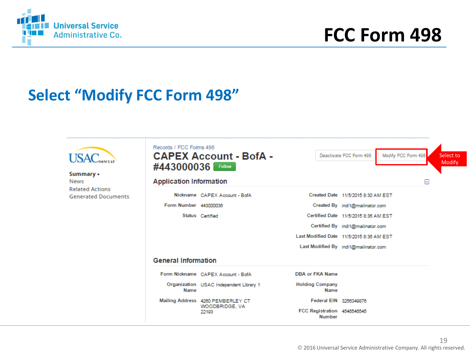

#### **Select "Modify FCC Form 498"**

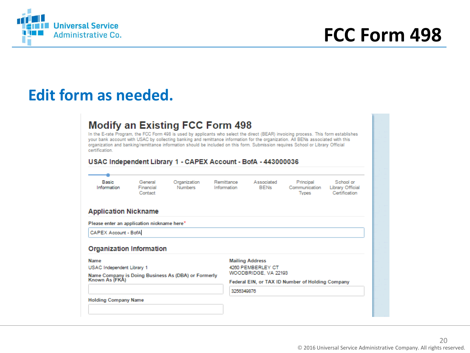

#### **Edit form as needed.**

#### **Modify an Existing FCC Form 498**

In the E-rate Program, the FCC Form 498 is used by applicants who select the direct (BEAR) invoicing process. This form establishes your bank account with USAC by collecting banking and remittance information for the organization. All BENs associated with this organization and banking/remittance information should be included on this form. Submission requires School or Library Official certification.

#### USAC Independent Library 1 - CAPEX Account - BofA - 443000036

| Basic<br>Information                                                                                                   | General<br>Financial<br>Contact | Organization<br><b>Numbers</b>                      | Remittance<br>Information | Associated<br><b>BENs</b>                   | Principal<br>Communication<br><b>Types</b>       | School or<br>Library Official<br>Certification |
|------------------------------------------------------------------------------------------------------------------------|---------------------------------|-----------------------------------------------------|---------------------------|---------------------------------------------|--------------------------------------------------|------------------------------------------------|
| <b>Application Nickname</b>                                                                                            |                                 |                                                     |                           |                                             |                                                  |                                                |
| Please enter an application nickname here*                                                                             |                                 |                                                     |                           |                                             |                                                  |                                                |
| CAPEX Account - BofA                                                                                                   |                                 |                                                     |                           |                                             |                                                  |                                                |
|                                                                                                                        |                                 |                                                     |                           |                                             |                                                  |                                                |
|                                                                                                                        |                                 |                                                     |                           | <b>Mailing Address</b><br>4260 PEMBERLEY CT |                                                  |                                                |
|                                                                                                                        |                                 | Name Company is Doing Business As (DBA) or Formerly |                           | WOODBRIDGE, VA 22193                        |                                                  |                                                |
|                                                                                                                        |                                 |                                                     | 3256349876                |                                             | Federal EIN, or TAX ID Number of Holding Company |                                                |
| <b>Organization Information</b><br>Name<br>USAC Independent Library 1<br>Known As (FKA)<br><b>Holding Company Name</b> |                                 |                                                     |                           |                                             |                                                  |                                                |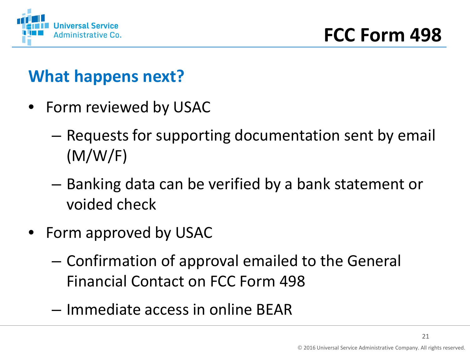

### **What happens next?**

- Form reviewed by USAC
	- Requests for supporting documentation sent by email (M/W/F)
	- Banking data can be verified by a bank statement or voided check
- Form approved by USAC
	- Confirmation of approval emailed to the General Financial Contact on FCC Form 498
	- Immediate access in online BEAR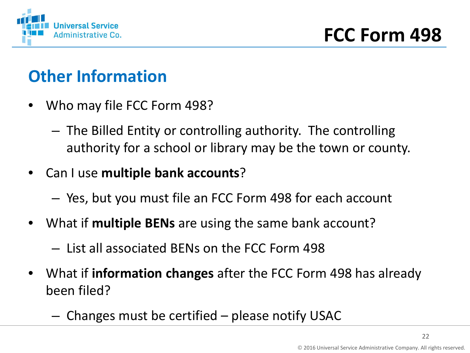

### **Other Information**

- Who may file FCC Form 498?
	- The Billed Entity or controlling authority. The controlling authority for a school or library may be the town or county.
- Can I use **multiple bank accounts**?
	- Yes, but you must file an FCC Form 498 for each account
- What if **multiple BENs** are using the same bank account?
	- List all associated BENs on the FCC Form 498
- What if **information changes** after the FCC Form 498 has already been filed?
	- Changes must be certified please notify USAC

22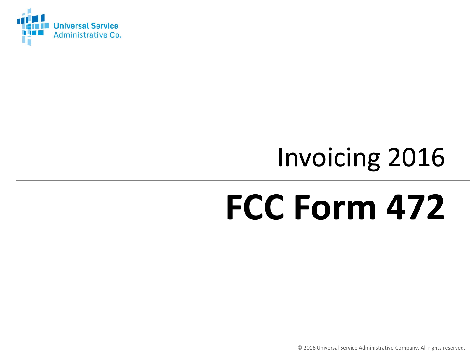

## Invoicing 2016

## **FCC Form 472**

© 2016 Universal Service Administrative Company. All rights reserved.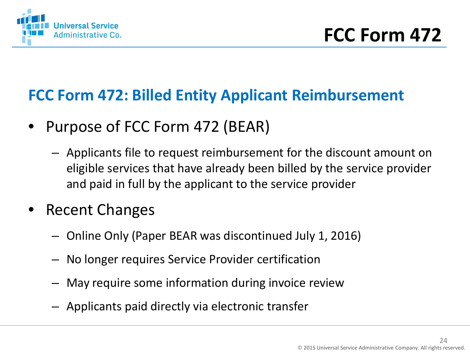

#### **FCC Form 472: Billed Entity Applicant Reimbursement**

- Purpose of FCC Form 472 (BEAR)
	- Applicants file to request reimbursement for the discount amount on eligible services that have already been billed by the service provider and paid in full by the applicant to the service provider
- Recent Changes
	- Online Only (Paper BEAR was discontinued July 1, 2016)
	- No longer requires Service Provider certification
	- May require some information during invoice review
	- Applicants paid directly via electronic transfer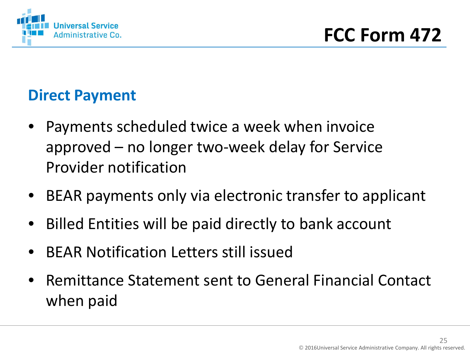

#### **Direct Payment**

- Payments scheduled twice a week when invoice approved – no longer two-week delay for Service Provider notification
- BEAR payments only via electronic transfer to applicant
- Billed Entities will be paid directly to bank account
- BEAR Notification Letters still issued
- Remittance Statement sent to General Financial Contact when paid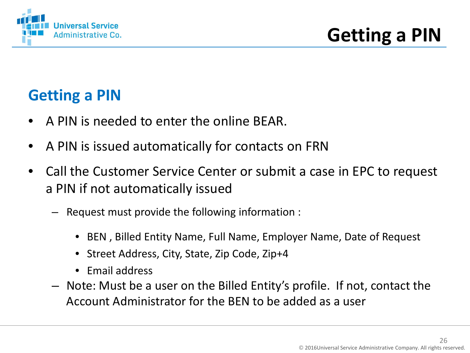

#### **Getting a PIN**

- A PIN is needed to enter the online BEAR.
- A PIN is issued automatically for contacts on FRN
- Call the Customer Service Center or submit a case in EPC to request a PIN if not automatically issued
	- Request must provide the following information :
		- BEN , Billed Entity Name, Full Name, Employer Name, Date of Request
		- Street Address, City, State, Zip Code, Zip+4
		- Email address
	- Note: Must be a user on the Billed Entity's profile. If not, contact the Account Administrator for the BEN to be added as a user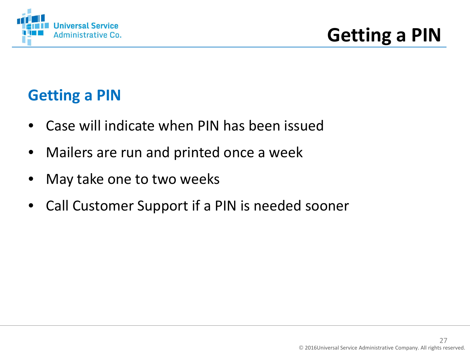

#### **Getting a PIN**

- Case will indicate when PIN has been issued
- Mailers are run and printed once a week
- May take one to two weeks
- Call Customer Support if a PIN is needed sooner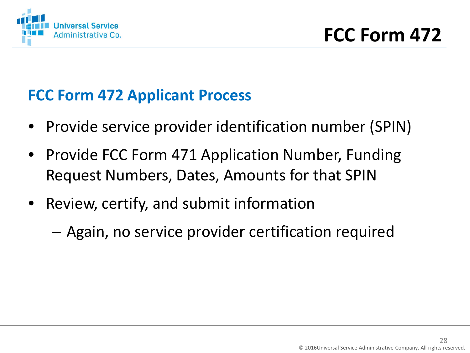

#### **FCC Form 472 Applicant Process**

- Provide service provider identification number (SPIN)
- Provide FCC Form 471 Application Number, Funding Request Numbers, Dates, Amounts for that SPIN
- Review, certify, and submit information
	- Again, no service provider certification required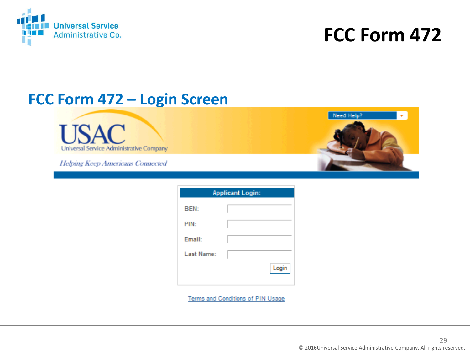

Need Help?

#### **FCC Form 472 – Login Screen**

Universal Service Administrative Company

Helping Keep Americans Connected

| <b>Applicant Login:</b> |       |  |  |  |  |  |  |
|-------------------------|-------|--|--|--|--|--|--|
| BEN:                    |       |  |  |  |  |  |  |
| PIN:                    |       |  |  |  |  |  |  |
| Email:                  |       |  |  |  |  |  |  |
| Last Name:              |       |  |  |  |  |  |  |
|                         | Login |  |  |  |  |  |  |

Terms and Conditions of PIN Usage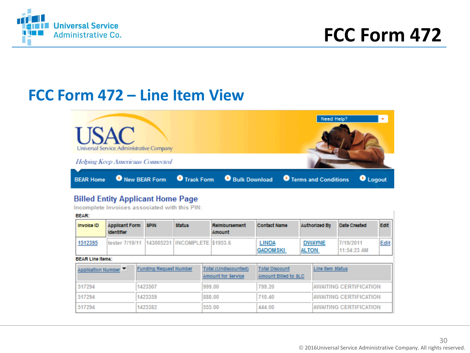

#### **FCC Form 472 – Line Item View**



#### **Billed Entity Applicant Home Page**

Incomplete Invoices associated with this PIN:

**BEAR:** Invoice ID **Applicant Form SPIN status Reimbursement Contact Name Authorized By** Date Created Edit **Identifier** Amount tester 7/19/11 143005231 INCOMPLETE \$1953.6 1512395 **LINDA DWAYNE** 7/19/2011 Edit **GADOMSKI ALTON** 11:54:23 AM **BEAR Line Items:** Application Number **Funding Request Number Total (Undiscounted) Total Discount** Line item Status **Amount for Service** Amount Billed to SLC 517294 1423507 999.00 799.20 **AWAITING CERTIFICATION** 888.00 710.40 517294 1423359 **AWAITING CERTIFICATION** 517294 1423382 555.00 444.00 **AWAITING CERTIFICATION**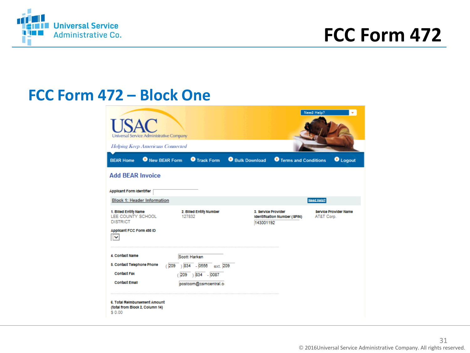

#### **FCC Form 472 – Block One**

| <b>USAC</b><br>Universal Service Administrative Company                                    |                                   |                                  |                               | Need Help? |                              |
|--------------------------------------------------------------------------------------------|-----------------------------------|----------------------------------|-------------------------------|------------|------------------------------|
| <b>Helping Keep Americans Connected</b>                                                    |                                   |                                  |                               |            |                              |
| <b>O</b> New BEAR Form<br><b>BEAR Home</b>                                                 | <b>O</b> Track Form               | Bulk Download                    | <b>O</b> Terms and Conditions |            | <b>O</b> Logout              |
| <b>Add BEAR Invoice</b>                                                                    |                                   |                                  |                               |            |                              |
| <b>Applicant Form Identifier</b>                                                           |                                   |                                  |                               |            |                              |
| <b>Block 1: Header Information</b>                                                         |                                   |                                  |                               | Need Help? |                              |
| 1. Billed Entity Name<br>LEE COUNTY SCHOOL<br><b>DISTRICT</b><br>Applicant FCC Form 498 ID | 2. Billed Entity Number<br>127832 | 3. Service Provider<br>143001192 | Identification Number (SPIN)  | AT&T Corp. | <b>Service Provider Name</b> |
| <b>4</b> Contact Name                                                                      | Scott Harken                      |                                  |                               |            |                              |
| 5. Contact Telephone Phone<br>(209)                                                        | $\overline{)834}$ - 0556 ext. 209 |                                  |                               |            |                              |
| <b>Contact Fax</b>                                                                         | $209$ $) 834$ - 0087              |                                  |                               |            |                              |
| <b>Contact Email</b>                                                                       | postcom@csmcentral.c              |                                  |                               |            |                              |
| 6. Total Reimbursement Amount<br>(total from Block 2, Column 14)<br>\$0.00                 |                                   |                                  |                               |            |                              |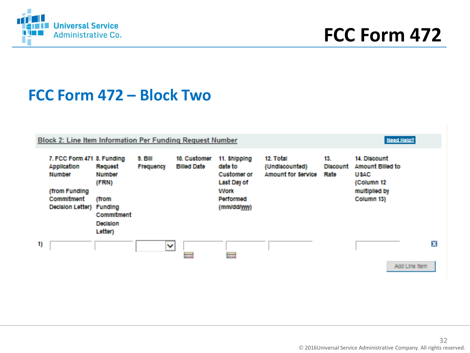

#### **FCC Form 472 – Block Two**

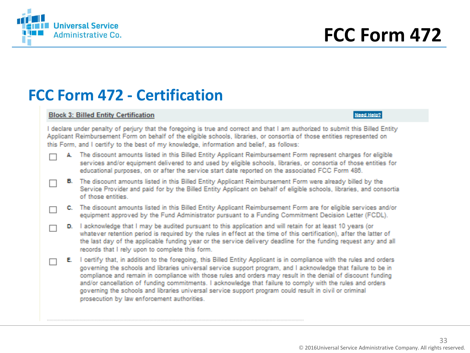

#### **FCC Form 472 - Certification**

#### **Block 3: Billed Entity Certification**

#### Need Help?

I declare under penalty of perjury that the foregoing is true and correct and that I am authorized to submit this Billed Entity Applicant Reimbursement Form on behalf of the eligible schools, libraries, or consortia of those entities represented on this Form, and I certify to the best of my knowledge, information and belief, as follows:

- A. The discount amounts listed in this Billed Entity Applicant Reimbursement Form represent charges for eligible services and/or equipment delivered to and used by eligible schools, libraries, or consortia of those entities for educational purposes, on or after the service start date reported on the associated FCC Form 486.
- B. The discount amounts listed in this Billed Entity Applicant Reimbursement Form were already billed by the Service Provider and paid for by the Billed Entity Applicant on behalf of eligible schools, libraries, and consortia of those entities.
- C. The discount amounts listed in this Billed Entity Applicant Reimbursement Form are for eligible services and/or equipment approved by the Fund Administrator pursuant to a Funding Commitment Decision Letter (FCDL).
- D. I acknowledge that I may be audited pursuant to this application and will retain for at least 10 years (or whatever retention period is required by the rules in effect at the time of this certification), after the latter of the last day of the applicable funding year or the service delivery deadline for the funding request any and all records that I rely upon to complete this form.
- E. I certify that, in addition to the foregoing, this Billed Entity Applicant is in compliance with the rules and orders governing the schools and libraries universal service support program, and I acknowledge that failure to be in compliance and remain in compliance with those rules and orders may result in the denial of discount funding and/or cancellation of funding commitments. I acknowledge that failure to comply with the rules and orders governing the schools and libraries universal service support program could result in civil or criminal prosecution by law enforcement authorities.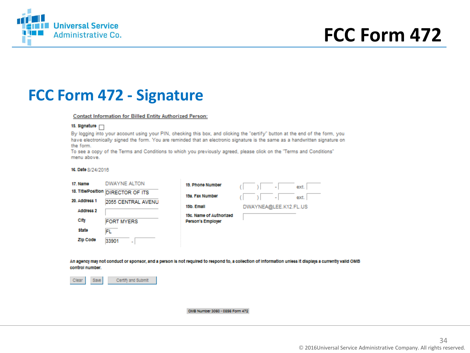

#### **FCC Form 472 - Signature**

#### **Contact Information for Billed Entity Authorized Person:**

#### 15. Signature [7]

By logging into your account using your PIN, checking this box, and clicking the "certify" button at the end of the form, you have electronically signed the form. You are reminded that an electronic signature is the same as a handwritten signature on the form.

To see a copy of the Terms and Conditions to which you previously agreed, please click on the "Terms and Conditions" menu above

#### 16. Date 8/24/2016

| 17. Name                   | DWAYNE ALTON                       | 19. Phone Number                             |  | ۰                     | ext. |
|----------------------------|------------------------------------|----------------------------------------------|--|-----------------------|------|
|                            | 18. Title/Position DIRECTOR OF ITS | 19a. Fax Number                              |  | -                     | ext. |
| 20. Address 1<br>Address 2 | 2055 CENTRAL AVENU                 | 19b. Email                                   |  | DWAYNEA@LEE.K12.FL.US |      |
| City                       | <b>FORT MYERS</b>                  | 19c. Name of Authorized<br>Person's Employer |  |                       |      |
| <b>State</b>               | FL                                 |                                              |  |                       |      |
| Zip Code                   | 33901<br>$\blacksquare$            |                                              |  |                       |      |

An agency may not conduct or sponsor, and a person is not required to respond to, a collection of information unless it displays a currently valid OMB control number.



#### OMB Number 3060 - 0856 Form 472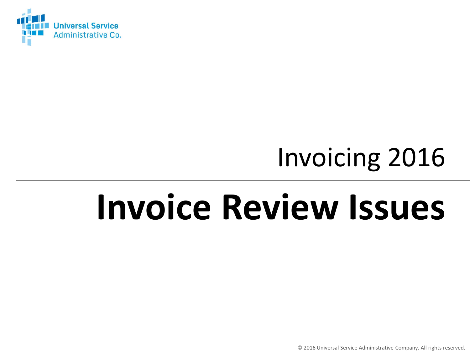

## Invoicing 2016

## **Invoice Review Issues**

© 2016 Universal Service Administrative Company. All rights reserved.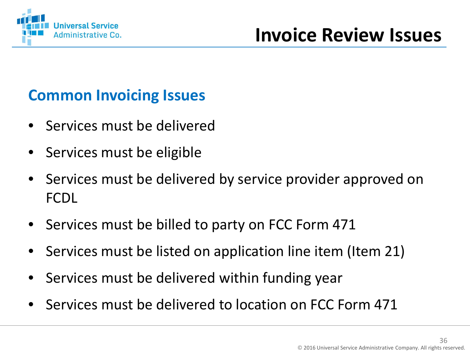

#### **Common Invoicing Issues**

- Services must be delivered
- Services must be eligible
- Services must be delivered by service provider approved on FCDL
- Services must be billed to party on FCC Form 471
- Services must be listed on application line item (Item 21)
- Services must be delivered within funding year
- Services must be delivered to location on FCC Form 471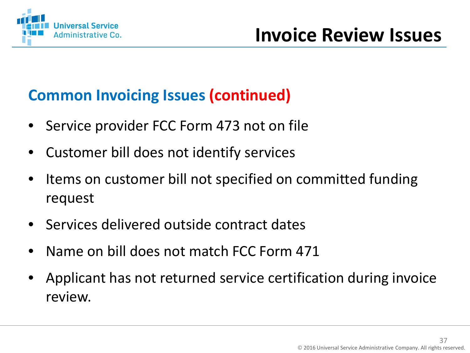

#### **Common Invoicing Issues (continued)**

- Service provider FCC Form 473 not on file
- Customer bill does not identify services
- Items on customer bill not specified on committed funding request
- Services delivered outside contract dates
- Name on bill does not match FCC Form 471
- Applicant has not returned service certification during invoice review.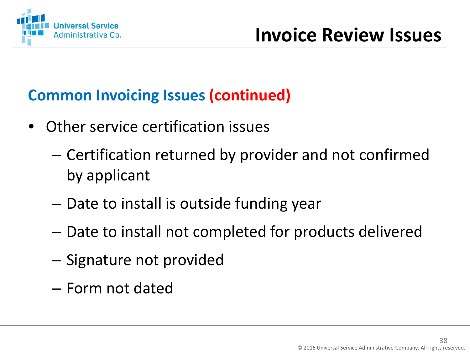

#### **Common Invoicing Issues (continued)**

- Other service certification issues
	- Certification returned by provider and not confirmed by applicant
	- Date to install is outside funding year
	- Date to install not completed for products delivered
	- Signature not provided
	- Form not dated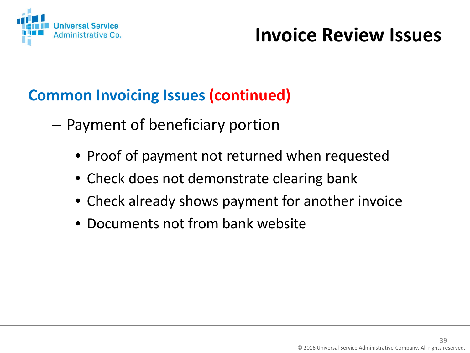

#### **Common Invoicing Issues (continued)**

- Payment of beneficiary portion
	- Proof of payment not returned when requested
	- Check does not demonstrate clearing bank
	- Check already shows payment for another invoice
	- Documents not from bank website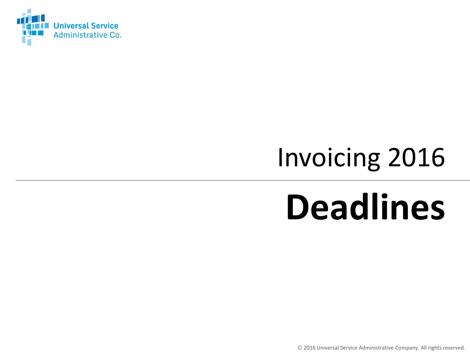

## Invoicing 2016

## **Deadlines**

© 2016 Universal Service Administrative Company. All rights reserved.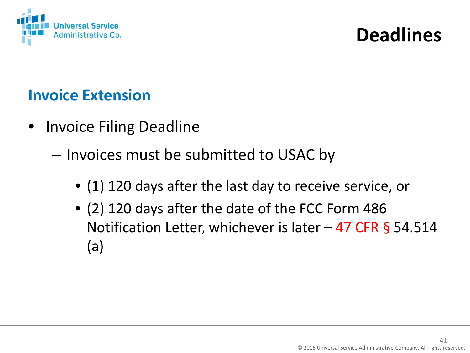

#### **Invoice Extension**

- Invoice Filing Deadline
	- Invoices must be submitted to USAC by
		- (1) 120 days after the last day to receive service, or
		- (2) 120 days after the date of the FCC Form 486 Notification Letter, whichever is later  $-47$  CFR § 54.514 (a)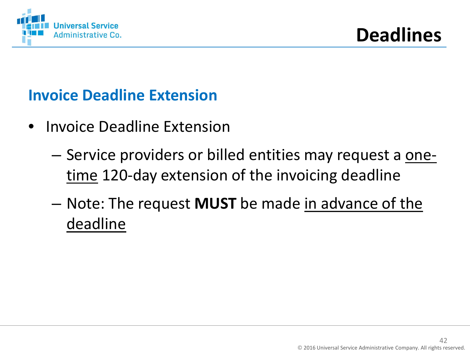

#### **Invoice Deadline Extension**

- Invoice Deadline Extension
	- Service providers or billed entities may request a onetime 120-day extension of the invoicing deadline
	- Note: The request **MUST** be made in advance of the deadline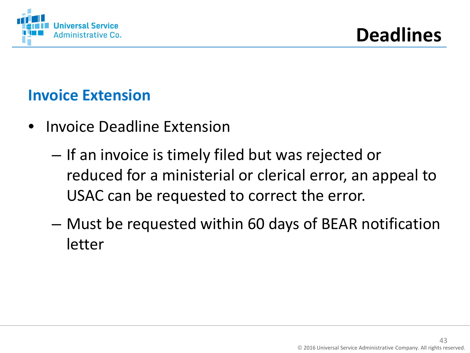

#### **Invoice Extension**

- Invoice Deadline Extension
	- If an invoice is timely filed but was rejected or reduced for a ministerial or clerical error, an appeal to USAC can be requested to correct the error.
	- Must be requested within 60 days of BEAR notification letter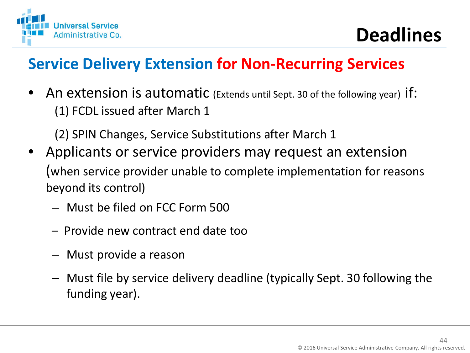

#### **Service Delivery Extension for Non-Recurring Services**

• An extension is automatic (Extends until Sept. 30 of the following year) if: (1) FCDL issued after March 1

(2) SPIN Changes, Service Substitutions after March 1

- Applicants or service providers may request an extension (when service provider unable to complete implementation for reasons beyond its control)
	- Must be filed on FCC Form 500
	- Provide new contract end date too
	- Must provide a reason
	- Must file by service delivery deadline (typically Sept. 30 following the funding year).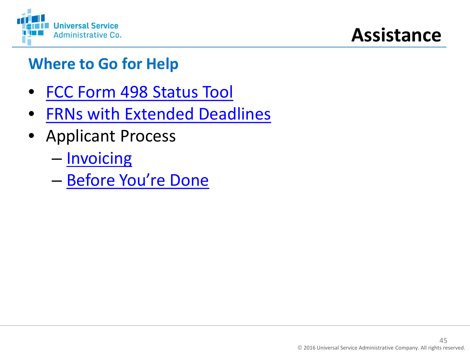

### **Assistance**

### **Where to Go for Help**

- [FCC Form 498 Status Tool](http://www.usac.org/sl/tools/498-ID-Status.aspx)
- [FRNs with Extended Deadlines](http://www.sl.universalservice.org/utilities/FRN_CurFundExt.asp)
- Applicant Process
	- [Invoicing](http://usac.org/sl/applicants/step06/default.aspx)
	- [Before You're Done](http://www.usac.org/sl/applicants/before-youre-done/default.aspx)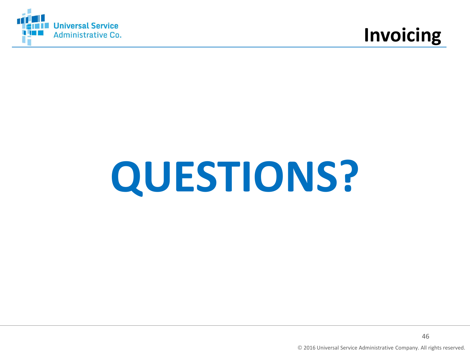



# **QUESTIONS?**